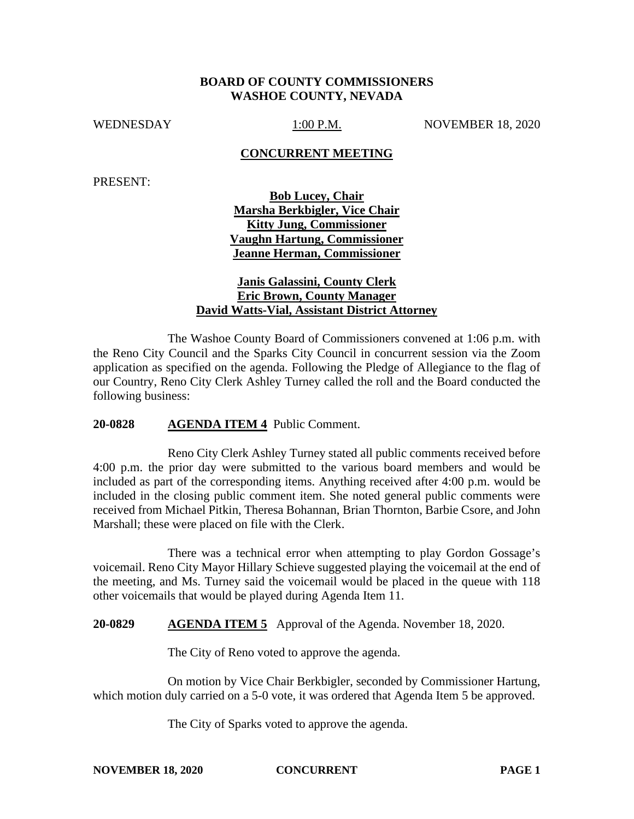### **BOARD OF COUNTY COMMISSIONERS WASHOE COUNTY, NEVADA**

WEDNESDAY 1:00 P.M. NOVEMBER 18, 2020

#### **CONCURRENT MEETING**

PRESENT:

**Bob Lucey, Chair Marsha Berkbigler, Vice Chair Kitty Jung, Commissioner Vaughn Hartung, Commissioner Jeanne Herman, Commissioner**

## **Janis Galassini, County Clerk Eric Brown, County Manager David Watts-Vial, Assistant District Attorney**

The Washoe County Board of Commissioners convened at 1:06 p.m. with the Reno City Council and the Sparks City Council in concurrent session via the Zoom application as specified on the agenda. Following the Pledge of Allegiance to the flag of our Country, Reno City Clerk Ashley Turney called the roll and the Board conducted the following business:

#### **20-0828 AGENDA ITEM 4** Public Comment.

Reno City Clerk Ashley Turney stated all public comments received before 4:00 p.m. the prior day were submitted to the various board members and would be included as part of the corresponding items. Anything received after 4:00 p.m. would be included in the closing public comment item. She noted general public comments were received from Michael Pitkin, Theresa Bohannan, Brian Thornton, Barbie Csore, and John Marshall; these were placed on file with the Clerk.

There was a technical error when attempting to play Gordon Gossage's voicemail. Reno City Mayor Hillary Schieve suggested playing the voicemail at the end of the meeting, and Ms. Turney said the voicemail would be placed in the queue with 118 other voicemails that would be played during Agenda Item 11.

**20-0829 AGENDA ITEM 5** Approval of the Agenda. November 18, 2020.

The City of Reno voted to approve the agenda.

On motion by Vice Chair Berkbigler, seconded by Commissioner Hartung, which motion duly carried on a 5-0 vote, it was ordered that Agenda Item 5 be approved.

The City of Sparks voted to approve the agenda.

**NOVEMBER 18, 2020 CONCURRENT PAGE 1**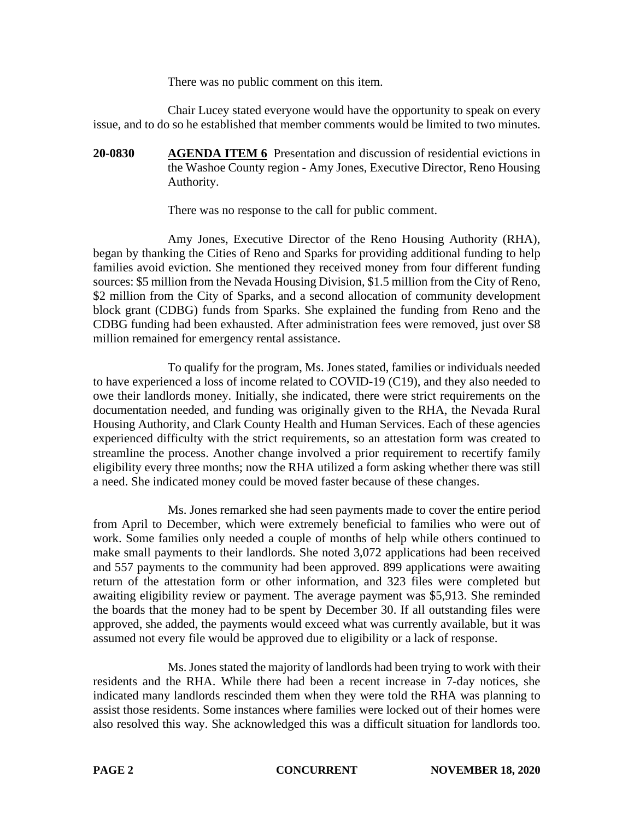There was no public comment on this item.

Chair Lucey stated everyone would have the opportunity to speak on every issue, and to do so he established that member comments would be limited to two minutes.

**20-0830 AGENDA ITEM 6** Presentation and discussion of residential evictions in the Washoe County region - Amy Jones, Executive Director, Reno Housing Authority.

There was no response to the call for public comment.

Amy Jones, Executive Director of the Reno Housing Authority (RHA), began by thanking the Cities of Reno and Sparks for providing additional funding to help families avoid eviction. She mentioned they received money from four different funding sources: \$5 million from the Nevada Housing Division, \$1.5 million from the City of Reno, \$2 million from the City of Sparks, and a second allocation of community development block grant (CDBG) funds from Sparks. She explained the funding from Reno and the CDBG funding had been exhausted. After administration fees were removed, just over \$8 million remained for emergency rental assistance.

To qualify for the program, Ms. Jones stated, families or individuals needed to have experienced a loss of income related to COVID-19 (C19), and they also needed to owe their landlords money. Initially, she indicated, there were strict requirements on the documentation needed, and funding was originally given to the RHA, the Nevada Rural Housing Authority, and Clark County Health and Human Services. Each of these agencies experienced difficulty with the strict requirements, so an attestation form was created to streamline the process. Another change involved a prior requirement to recertify family eligibility every three months; now the RHA utilized a form asking whether there was still a need. She indicated money could be moved faster because of these changes.

Ms. Jones remarked she had seen payments made to cover the entire period from April to December, which were extremely beneficial to families who were out of work. Some families only needed a couple of months of help while others continued to make small payments to their landlords. She noted 3,072 applications had been received and 557 payments to the community had been approved. 899 applications were awaiting return of the attestation form or other information, and 323 files were completed but awaiting eligibility review or payment. The average payment was \$5,913. She reminded the boards that the money had to be spent by December 30. If all outstanding files were approved, she added, the payments would exceed what was currently available, but it was assumed not every file would be approved due to eligibility or a lack of response.

Ms. Jones stated the majority of landlords had been trying to work with their residents and the RHA. While there had been a recent increase in 7-day notices, she indicated many landlords rescinded them when they were told the RHA was planning to assist those residents. Some instances where families were locked out of their homes were also resolved this way. She acknowledged this was a difficult situation for landlords too.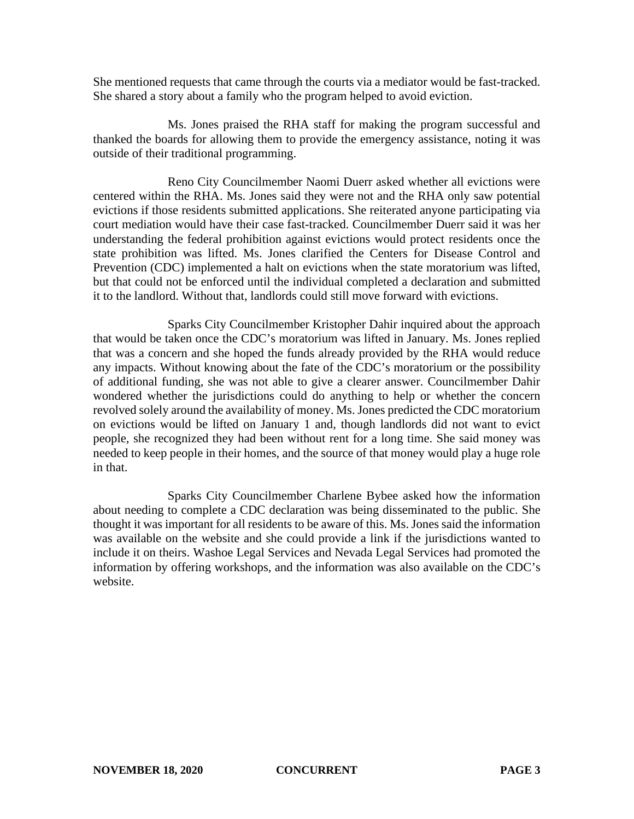She mentioned requests that came through the courts via a mediator would be fast-tracked. She shared a story about a family who the program helped to avoid eviction.

Ms. Jones praised the RHA staff for making the program successful and thanked the boards for allowing them to provide the emergency assistance, noting it was outside of their traditional programming.

Reno City Councilmember Naomi Duerr asked whether all evictions were centered within the RHA. Ms. Jones said they were not and the RHA only saw potential evictions if those residents submitted applications. She reiterated anyone participating via court mediation would have their case fast-tracked. Councilmember Duerr said it was her understanding the federal prohibition against evictions would protect residents once the state prohibition was lifted. Ms. Jones clarified the Centers for Disease Control and Prevention (CDC) implemented a halt on evictions when the state moratorium was lifted, but that could not be enforced until the individual completed a declaration and submitted it to the landlord. Without that, landlords could still move forward with evictions.

Sparks City Councilmember Kristopher Dahir inquired about the approach that would be taken once the CDC's moratorium was lifted in January. Ms. Jones replied that was a concern and she hoped the funds already provided by the RHA would reduce any impacts. Without knowing about the fate of the CDC's moratorium or the possibility of additional funding, she was not able to give a clearer answer. Councilmember Dahir wondered whether the jurisdictions could do anything to help or whether the concern revolved solely around the availability of money. Ms. Jones predicted the CDC moratorium on evictions would be lifted on January 1 and, though landlords did not want to evict people, she recognized they had been without rent for a long time. She said money was needed to keep people in their homes, and the source of that money would play a huge role in that.

Sparks City Councilmember Charlene Bybee asked how the information about needing to complete a CDC declaration was being disseminated to the public. She thought it was important for all residents to be aware of this. Ms. Jones said the information was available on the website and she could provide a link if the jurisdictions wanted to include it on theirs. Washoe Legal Services and Nevada Legal Services had promoted the information by offering workshops, and the information was also available on the CDC's website.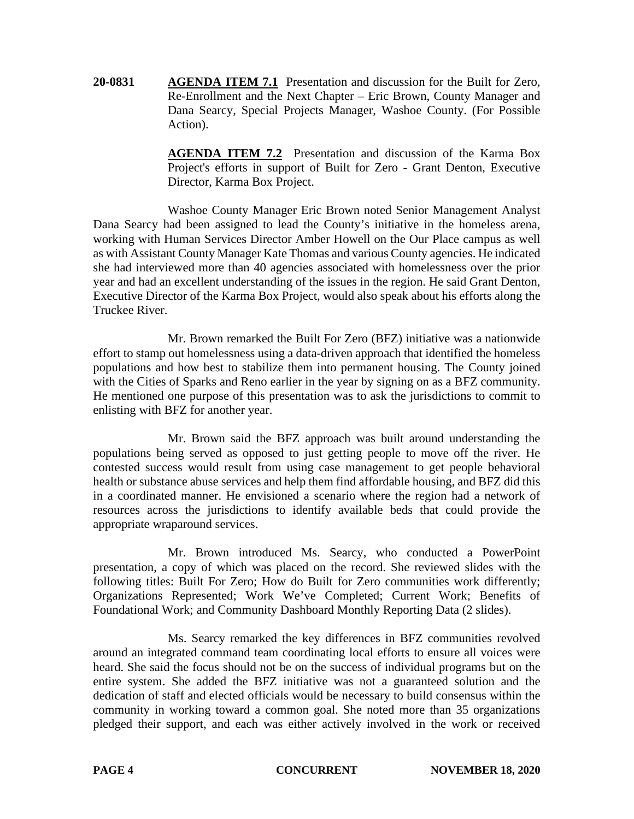**20-0831 AGENDA ITEM 7.1** Presentation and discussion for the Built for Zero, Re-Enrollment and the Next Chapter – Eric Brown, County Manager and Dana Searcy, Special Projects Manager, Washoe County. (For Possible Action).

> **AGENDA ITEM 7.2** Presentation and discussion of the Karma Box Project's efforts in support of Built for Zero - Grant Denton, Executive Director, Karma Box Project.

Washoe County Manager Eric Brown noted Senior Management Analyst Dana Searcy had been assigned to lead the County's initiative in the homeless arena, working with Human Services Director Amber Howell on the Our Place campus as well as with Assistant County Manager Kate Thomas and various County agencies. He indicated she had interviewed more than 40 agencies associated with homelessness over the prior year and had an excellent understanding of the issues in the region. He said Grant Denton, Executive Director of the Karma Box Project, would also speak about his efforts along the Truckee River.

Mr. Brown remarked the Built For Zero (BFZ) initiative was a nationwide effort to stamp out homelessness using a data-driven approach that identified the homeless populations and how best to stabilize them into permanent housing. The County joined with the Cities of Sparks and Reno earlier in the year by signing on as a BFZ community. He mentioned one purpose of this presentation was to ask the jurisdictions to commit to enlisting with BFZ for another year.

Mr. Brown said the BFZ approach was built around understanding the populations being served as opposed to just getting people to move off the river. He contested success would result from using case management to get people behavioral health or substance abuse services and help them find affordable housing, and BFZ did this in a coordinated manner. He envisioned a scenario where the region had a network of resources across the jurisdictions to identify available beds that could provide the appropriate wraparound services.

Mr. Brown introduced Ms. Searcy, who conducted a PowerPoint presentation, a copy of which was placed on the record. She reviewed slides with the following titles: Built For Zero; How do Built for Zero communities work differently; Organizations Represented; Work We've Completed; Current Work; Benefits of Foundational Work; and Community Dashboard Monthly Reporting Data (2 slides).

Ms. Searcy remarked the key differences in BFZ communities revolved around an integrated command team coordinating local efforts to ensure all voices were heard. She said the focus should not be on the success of individual programs but on the entire system. She added the BFZ initiative was not a guaranteed solution and the dedication of staff and elected officials would be necessary to build consensus within the community in working toward a common goal. She noted more than 35 organizations pledged their support, and each was either actively involved in the work or received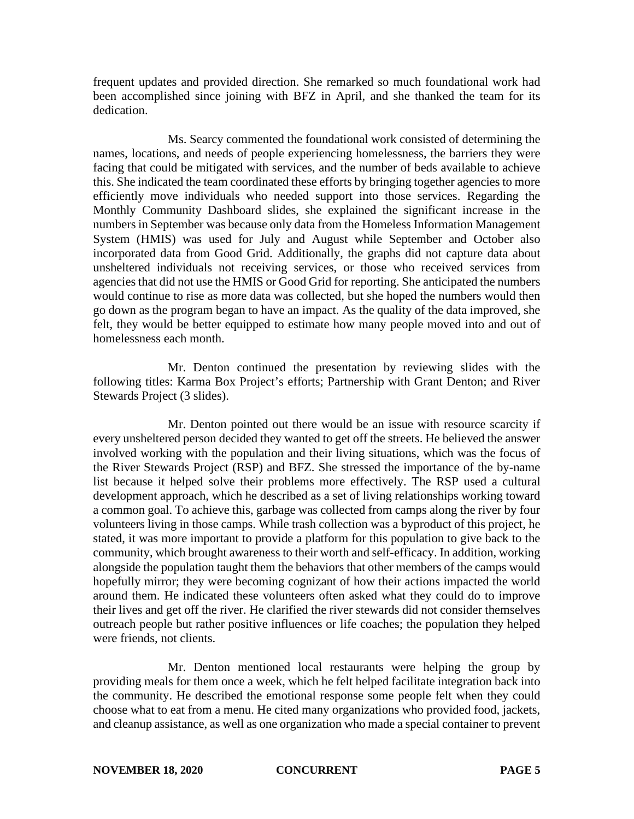frequent updates and provided direction. She remarked so much foundational work had been accomplished since joining with BFZ in April, and she thanked the team for its dedication.

Ms. Searcy commented the foundational work consisted of determining the names, locations, and needs of people experiencing homelessness, the barriers they were facing that could be mitigated with services, and the number of beds available to achieve this. She indicated the team coordinated these efforts by bringing together agencies to more efficiently move individuals who needed support into those services. Regarding the Monthly Community Dashboard slides, she explained the significant increase in the numbers in September was because only data from the Homeless Information Management System (HMIS) was used for July and August while September and October also incorporated data from Good Grid. Additionally, the graphs did not capture data about unsheltered individuals not receiving services, or those who received services from agencies that did not use the HMIS or Good Grid for reporting. She anticipated the numbers would continue to rise as more data was collected, but she hoped the numbers would then go down as the program began to have an impact. As the quality of the data improved, she felt, they would be better equipped to estimate how many people moved into and out of homelessness each month.

Mr. Denton continued the presentation by reviewing slides with the following titles: Karma Box Project's efforts; Partnership with Grant Denton; and River Stewards Project (3 slides).

Mr. Denton pointed out there would be an issue with resource scarcity if every unsheltered person decided they wanted to get off the streets. He believed the answer involved working with the population and their living situations, which was the focus of the River Stewards Project (RSP) and BFZ. She stressed the importance of the by-name list because it helped solve their problems more effectively. The RSP used a cultural development approach, which he described as a set of living relationships working toward a common goal. To achieve this, garbage was collected from camps along the river by four volunteers living in those camps. While trash collection was a byproduct of this project, he stated, it was more important to provide a platform for this population to give back to the community, which brought awareness to their worth and self-efficacy. In addition, working alongside the population taught them the behaviors that other members of the camps would hopefully mirror; they were becoming cognizant of how their actions impacted the world around them. He indicated these volunteers often asked what they could do to improve their lives and get off the river. He clarified the river stewards did not consider themselves outreach people but rather positive influences or life coaches; the population they helped were friends, not clients.

Mr. Denton mentioned local restaurants were helping the group by providing meals for them once a week, which he felt helped facilitate integration back into the community. He described the emotional response some people felt when they could choose what to eat from a menu. He cited many organizations who provided food, jackets, and cleanup assistance, as well as one organization who made a special container to prevent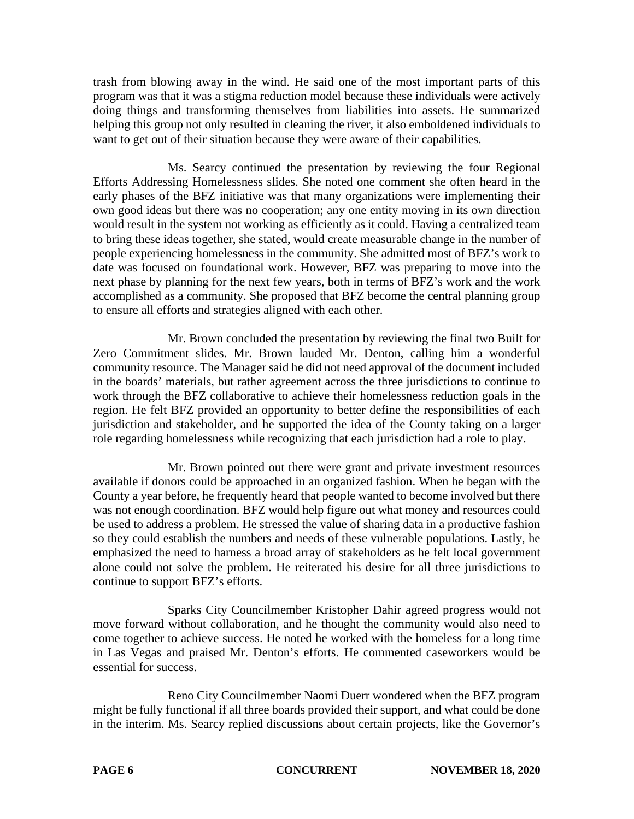trash from blowing away in the wind. He said one of the most important parts of this program was that it was a stigma reduction model because these individuals were actively doing things and transforming themselves from liabilities into assets. He summarized helping this group not only resulted in cleaning the river, it also emboldened individuals to want to get out of their situation because they were aware of their capabilities.

Ms. Searcy continued the presentation by reviewing the four Regional Efforts Addressing Homelessness slides. She noted one comment she often heard in the early phases of the BFZ initiative was that many organizations were implementing their own good ideas but there was no cooperation; any one entity moving in its own direction would result in the system not working as efficiently as it could. Having a centralized team to bring these ideas together, she stated, would create measurable change in the number of people experiencing homelessness in the community. She admitted most of BFZ's work to date was focused on foundational work. However, BFZ was preparing to move into the next phase by planning for the next few years, both in terms of BFZ's work and the work accomplished as a community. She proposed that BFZ become the central planning group to ensure all efforts and strategies aligned with each other.

Mr. Brown concluded the presentation by reviewing the final two Built for Zero Commitment slides. Mr. Brown lauded Mr. Denton, calling him a wonderful community resource. The Manager said he did not need approval of the document included in the boards' materials, but rather agreement across the three jurisdictions to continue to work through the BFZ collaborative to achieve their homelessness reduction goals in the region. He felt BFZ provided an opportunity to better define the responsibilities of each jurisdiction and stakeholder, and he supported the idea of the County taking on a larger role regarding homelessness while recognizing that each jurisdiction had a role to play.

Mr. Brown pointed out there were grant and private investment resources available if donors could be approached in an organized fashion. When he began with the County a year before, he frequently heard that people wanted to become involved but there was not enough coordination. BFZ would help figure out what money and resources could be used to address a problem. He stressed the value of sharing data in a productive fashion so they could establish the numbers and needs of these vulnerable populations. Lastly, he emphasized the need to harness a broad array of stakeholders as he felt local government alone could not solve the problem. He reiterated his desire for all three jurisdictions to continue to support BFZ's efforts.

Sparks City Councilmember Kristopher Dahir agreed progress would not move forward without collaboration, and he thought the community would also need to come together to achieve success. He noted he worked with the homeless for a long time in Las Vegas and praised Mr. Denton's efforts. He commented caseworkers would be essential for success.

Reno City Councilmember Naomi Duerr wondered when the BFZ program might be fully functional if all three boards provided their support, and what could be done in the interim. Ms. Searcy replied discussions about certain projects, like the Governor's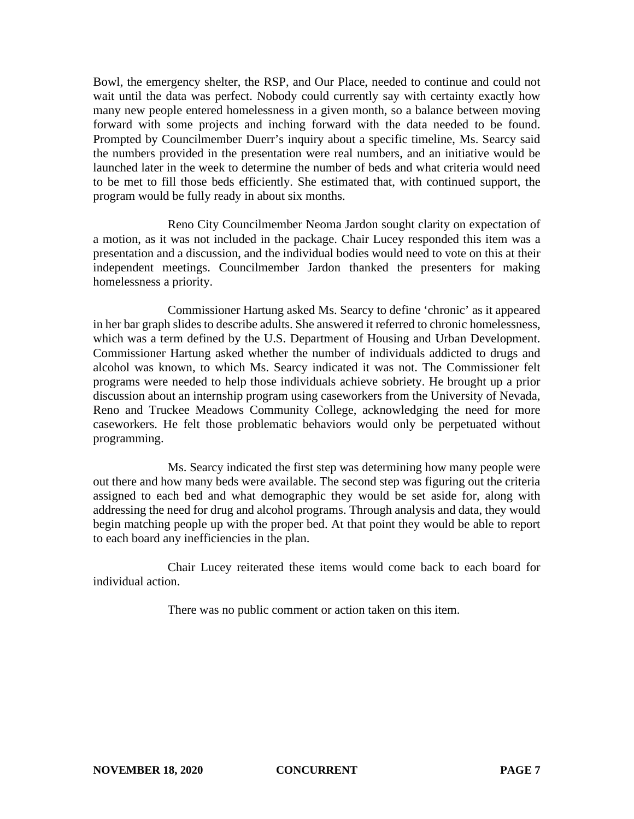Bowl, the emergency shelter, the RSP, and Our Place, needed to continue and could not wait until the data was perfect. Nobody could currently say with certainty exactly how many new people entered homelessness in a given month, so a balance between moving forward with some projects and inching forward with the data needed to be found. Prompted by Councilmember Duerr's inquiry about a specific timeline, Ms. Searcy said the numbers provided in the presentation were real numbers, and an initiative would be launched later in the week to determine the number of beds and what criteria would need to be met to fill those beds efficiently. She estimated that, with continued support, the program would be fully ready in about six months.

Reno City Councilmember Neoma Jardon sought clarity on expectation of a motion, as it was not included in the package. Chair Lucey responded this item was a presentation and a discussion, and the individual bodies would need to vote on this at their independent meetings. Councilmember Jardon thanked the presenters for making homelessness a priority.

Commissioner Hartung asked Ms. Searcy to define 'chronic' as it appeared in her bar graph slides to describe adults. She answered it referred to chronic homelessness, which was a term defined by the U.S. Department of Housing and Urban Development. Commissioner Hartung asked whether the number of individuals addicted to drugs and alcohol was known, to which Ms. Searcy indicated it was not. The Commissioner felt programs were needed to help those individuals achieve sobriety. He brought up a prior discussion about an internship program using caseworkers from the University of Nevada, Reno and Truckee Meadows Community College, acknowledging the need for more caseworkers. He felt those problematic behaviors would only be perpetuated without programming.

Ms. Searcy indicated the first step was determining how many people were out there and how many beds were available. The second step was figuring out the criteria assigned to each bed and what demographic they would be set aside for, along with addressing the need for drug and alcohol programs. Through analysis and data, they would begin matching people up with the proper bed. At that point they would be able to report to each board any inefficiencies in the plan.

Chair Lucey reiterated these items would come back to each board for individual action.

There was no public comment or action taken on this item.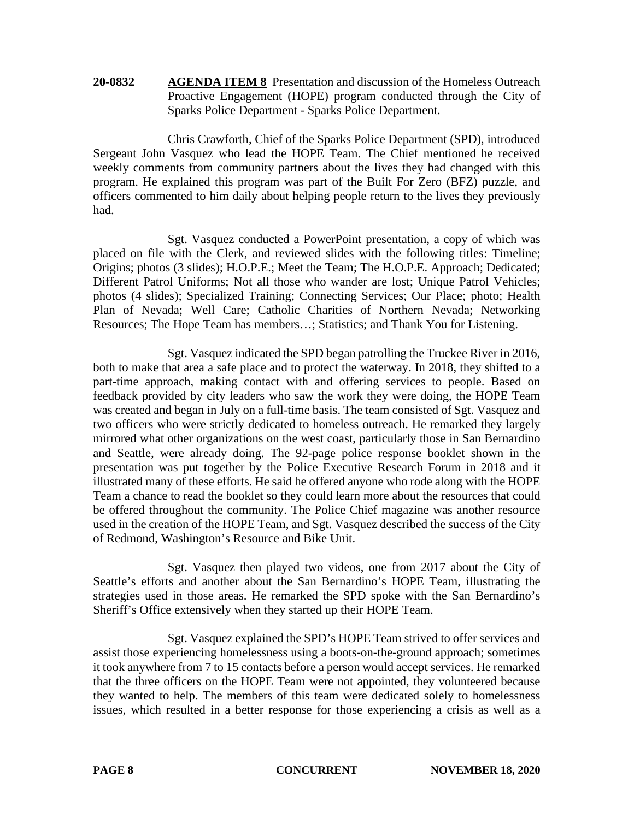**20-0832 AGENDA ITEM 8** Presentation and discussion of the Homeless Outreach Proactive Engagement (HOPE) program conducted through the City of Sparks Police Department - Sparks Police Department.

Chris Crawforth, Chief of the Sparks Police Department (SPD), introduced Sergeant John Vasquez who lead the HOPE Team. The Chief mentioned he received weekly comments from community partners about the lives they had changed with this program. He explained this program was part of the Built For Zero (BFZ) puzzle, and officers commented to him daily about helping people return to the lives they previously had.

Sgt. Vasquez conducted a PowerPoint presentation, a copy of which was placed on file with the Clerk, and reviewed slides with the following titles: Timeline; Origins; photos (3 slides); H.O.P.E.; Meet the Team; The H.O.P.E. Approach; Dedicated; Different Patrol Uniforms; Not all those who wander are lost; Unique Patrol Vehicles; photos (4 slides); Specialized Training; Connecting Services; Our Place; photo; Health Plan of Nevada; Well Care; Catholic Charities of Northern Nevada; Networking Resources; The Hope Team has members…; Statistics; and Thank You for Listening.

Sgt. Vasquez indicated the SPD began patrolling the Truckee River in 2016, both to make that area a safe place and to protect the waterway. In 2018, they shifted to a part-time approach, making contact with and offering services to people. Based on feedback provided by city leaders who saw the work they were doing, the HOPE Team was created and began in July on a full-time basis. The team consisted of Sgt. Vasquez and two officers who were strictly dedicated to homeless outreach. He remarked they largely mirrored what other organizations on the west coast, particularly those in San Bernardino and Seattle, were already doing. The 92-page police response booklet shown in the presentation was put together by the Police Executive Research Forum in 2018 and it illustrated many of these efforts. He said he offered anyone who rode along with the HOPE Team a chance to read the booklet so they could learn more about the resources that could be offered throughout the community. The Police Chief magazine was another resource used in the creation of the HOPE Team, and Sgt. Vasquez described the success of the City of Redmond, Washington's Resource and Bike Unit.

Sgt. Vasquez then played two videos, one from 2017 about the City of Seattle's efforts and another about the San Bernardino's HOPE Team, illustrating the strategies used in those areas. He remarked the SPD spoke with the San Bernardino's Sheriff's Office extensively when they started up their HOPE Team.

Sgt. Vasquez explained the SPD's HOPE Team strived to offer services and assist those experiencing homelessness using a boots-on-the-ground approach; sometimes it took anywhere from 7 to 15 contacts before a person would accept services. He remarked that the three officers on the HOPE Team were not appointed, they volunteered because they wanted to help. The members of this team were dedicated solely to homelessness issues, which resulted in a better response for those experiencing a crisis as well as a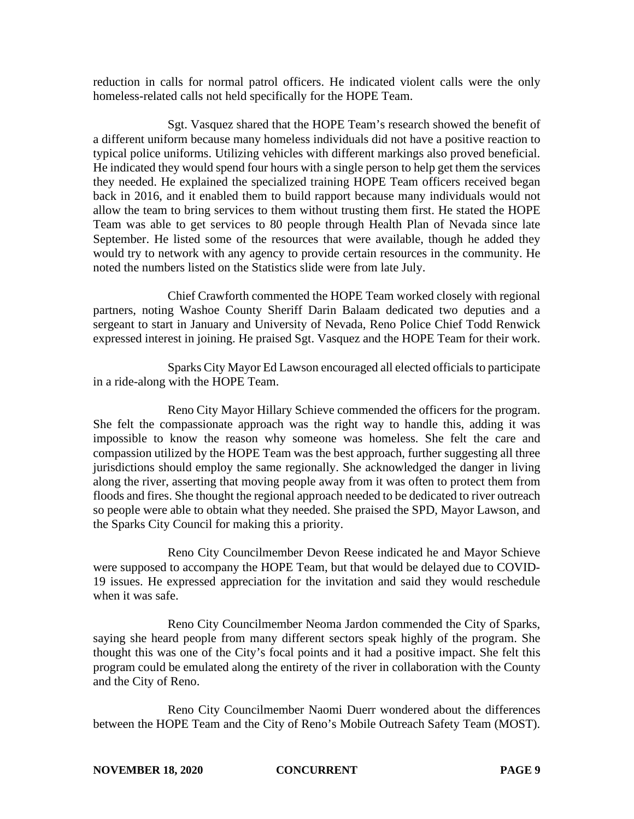reduction in calls for normal patrol officers. He indicated violent calls were the only homeless-related calls not held specifically for the HOPE Team.

Sgt. Vasquez shared that the HOPE Team's research showed the benefit of a different uniform because many homeless individuals did not have a positive reaction to typical police uniforms. Utilizing vehicles with different markings also proved beneficial. He indicated they would spend four hours with a single person to help get them the services they needed. He explained the specialized training HOPE Team officers received began back in 2016, and it enabled them to build rapport because many individuals would not allow the team to bring services to them without trusting them first. He stated the HOPE Team was able to get services to 80 people through Health Plan of Nevada since late September. He listed some of the resources that were available, though he added they would try to network with any agency to provide certain resources in the community. He noted the numbers listed on the Statistics slide were from late July.

Chief Crawforth commented the HOPE Team worked closely with regional partners, noting Washoe County Sheriff Darin Balaam dedicated two deputies and a sergeant to start in January and University of Nevada, Reno Police Chief Todd Renwick expressed interest in joining. He praised Sgt. Vasquez and the HOPE Team for their work.

Sparks City Mayor Ed Lawson encouraged all elected officials to participate in a ride-along with the HOPE Team.

Reno City Mayor Hillary Schieve commended the officers for the program. She felt the compassionate approach was the right way to handle this, adding it was impossible to know the reason why someone was homeless. She felt the care and compassion utilized by the HOPE Team was the best approach, further suggesting all three jurisdictions should employ the same regionally. She acknowledged the danger in living along the river, asserting that moving people away from it was often to protect them from floods and fires. She thought the regional approach needed to be dedicated to river outreach so people were able to obtain what they needed. She praised the SPD, Mayor Lawson, and the Sparks City Council for making this a priority.

Reno City Councilmember Devon Reese indicated he and Mayor Schieve were supposed to accompany the HOPE Team, but that would be delayed due to COVID-19 issues. He expressed appreciation for the invitation and said they would reschedule when it was safe.

Reno City Councilmember Neoma Jardon commended the City of Sparks, saying she heard people from many different sectors speak highly of the program. She thought this was one of the City's focal points and it had a positive impact. She felt this program could be emulated along the entirety of the river in collaboration with the County and the City of Reno.

Reno City Councilmember Naomi Duerr wondered about the differences between the HOPE Team and the City of Reno's Mobile Outreach Safety Team (MOST).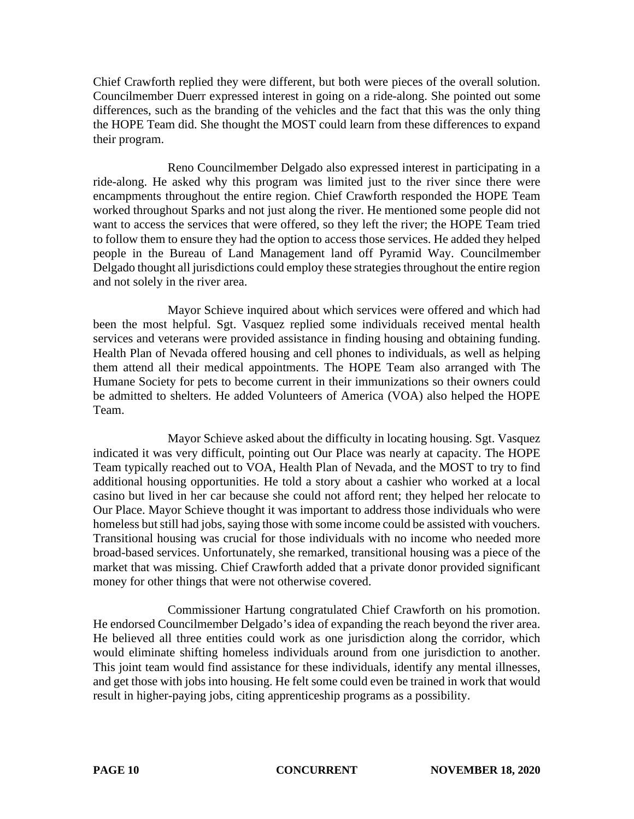Chief Crawforth replied they were different, but both were pieces of the overall solution. Councilmember Duerr expressed interest in going on a ride-along. She pointed out some differences, such as the branding of the vehicles and the fact that this was the only thing the HOPE Team did. She thought the MOST could learn from these differences to expand their program.

Reno Councilmember Delgado also expressed interest in participating in a ride-along. He asked why this program was limited just to the river since there were encampments throughout the entire region. Chief Crawforth responded the HOPE Team worked throughout Sparks and not just along the river. He mentioned some people did not want to access the services that were offered, so they left the river; the HOPE Team tried to follow them to ensure they had the option to access those services. He added they helped people in the Bureau of Land Management land off Pyramid Way. Councilmember Delgado thought all jurisdictions could employ these strategies throughout the entire region and not solely in the river area.

Mayor Schieve inquired about which services were offered and which had been the most helpful. Sgt. Vasquez replied some individuals received mental health services and veterans were provided assistance in finding housing and obtaining funding. Health Plan of Nevada offered housing and cell phones to individuals, as well as helping them attend all their medical appointments. The HOPE Team also arranged with The Humane Society for pets to become current in their immunizations so their owners could be admitted to shelters. He added Volunteers of America (VOA) also helped the HOPE Team.

Mayor Schieve asked about the difficulty in locating housing. Sgt. Vasquez indicated it was very difficult, pointing out Our Place was nearly at capacity. The HOPE Team typically reached out to VOA, Health Plan of Nevada, and the MOST to try to find additional housing opportunities. He told a story about a cashier who worked at a local casino but lived in her car because she could not afford rent; they helped her relocate to Our Place. Mayor Schieve thought it was important to address those individuals who were homeless but still had jobs, saying those with some income could be assisted with vouchers. Transitional housing was crucial for those individuals with no income who needed more broad-based services. Unfortunately, she remarked, transitional housing was a piece of the market that was missing. Chief Crawforth added that a private donor provided significant money for other things that were not otherwise covered.

Commissioner Hartung congratulated Chief Crawforth on his promotion. He endorsed Councilmember Delgado's idea of expanding the reach beyond the river area. He believed all three entities could work as one jurisdiction along the corridor, which would eliminate shifting homeless individuals around from one jurisdiction to another. This joint team would find assistance for these individuals, identify any mental illnesses, and get those with jobs into housing. He felt some could even be trained in work that would result in higher-paying jobs, citing apprenticeship programs as a possibility.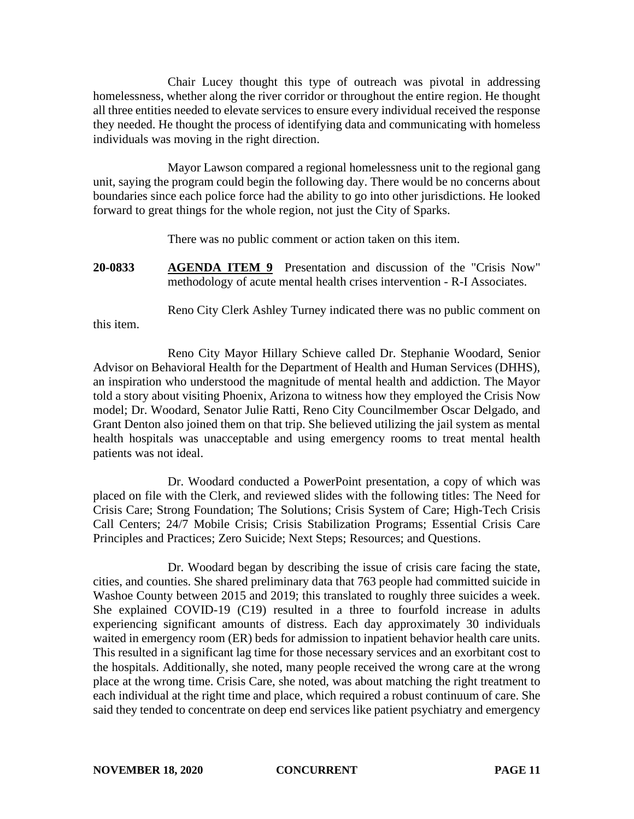Chair Lucey thought this type of outreach was pivotal in addressing homelessness, whether along the river corridor or throughout the entire region. He thought all three entities needed to elevate services to ensure every individual received the response they needed. He thought the process of identifying data and communicating with homeless individuals was moving in the right direction.

Mayor Lawson compared a regional homelessness unit to the regional gang unit, saying the program could begin the following day. There would be no concerns about boundaries since each police force had the ability to go into other jurisdictions. He looked forward to great things for the whole region, not just the City of Sparks.

There was no public comment or action taken on this item.

**20-0833 AGENDA ITEM 9** Presentation and discussion of the "Crisis Now" methodology of acute mental health crises intervention - R-I Associates.

Reno City Clerk Ashley Turney indicated there was no public comment on

this item.

Reno City Mayor Hillary Schieve called Dr. Stephanie Woodard, Senior Advisor on Behavioral Health for the Department of Health and Human Services (DHHS), an inspiration who understood the magnitude of mental health and addiction. The Mayor told a story about visiting Phoenix, Arizona to witness how they employed the Crisis Now model; Dr. Woodard, Senator Julie Ratti, Reno City Councilmember Oscar Delgado, and Grant Denton also joined them on that trip. She believed utilizing the jail system as mental health hospitals was unacceptable and using emergency rooms to treat mental health patients was not ideal.

Dr. Woodard conducted a PowerPoint presentation, a copy of which was placed on file with the Clerk, and reviewed slides with the following titles: The Need for Crisis Care; Strong Foundation; The Solutions; Crisis System of Care; High-Tech Crisis Call Centers; 24/7 Mobile Crisis; Crisis Stabilization Programs; Essential Crisis Care Principles and Practices; Zero Suicide; Next Steps; Resources; and Questions.

Dr. Woodard began by describing the issue of crisis care facing the state, cities, and counties. She shared preliminary data that 763 people had committed suicide in Washoe County between 2015 and 2019; this translated to roughly three suicides a week. She explained COVID-19 (C19) resulted in a three to fourfold increase in adults experiencing significant amounts of distress. Each day approximately 30 individuals waited in emergency room (ER) beds for admission to inpatient behavior health care units. This resulted in a significant lag time for those necessary services and an exorbitant cost to the hospitals. Additionally, she noted, many people received the wrong care at the wrong place at the wrong time. Crisis Care, she noted, was about matching the right treatment to each individual at the right time and place, which required a robust continuum of care. She said they tended to concentrate on deep end services like patient psychiatry and emergency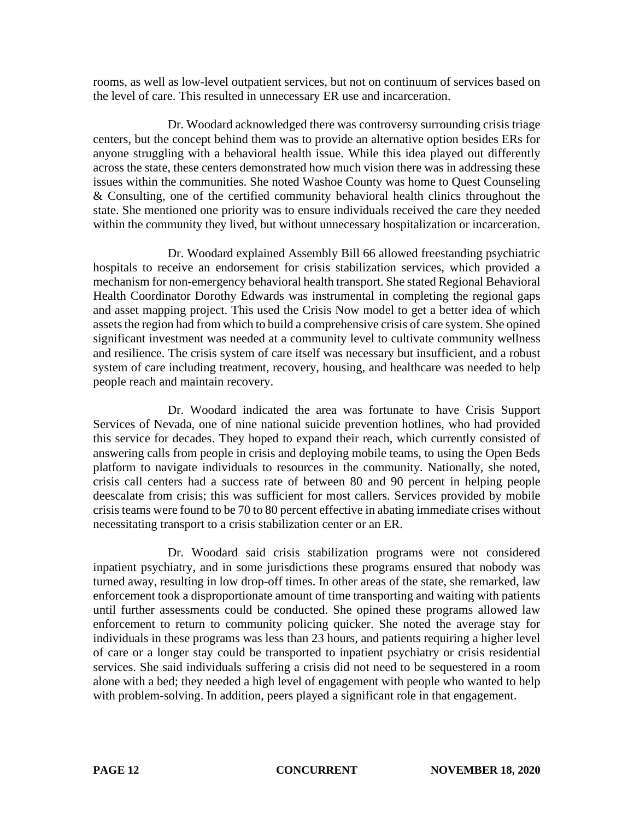rooms, as well as low-level outpatient services, but not on continuum of services based on the level of care. This resulted in unnecessary ER use and incarceration.

Dr. Woodard acknowledged there was controversy surrounding crisis triage centers, but the concept behind them was to provide an alternative option besides ERs for anyone struggling with a behavioral health issue. While this idea played out differently across the state, these centers demonstrated how much vision there was in addressing these issues within the communities. She noted Washoe County was home to Quest Counseling & Consulting, one of the certified community behavioral health clinics throughout the state. She mentioned one priority was to ensure individuals received the care they needed within the community they lived, but without unnecessary hospitalization or incarceration.

Dr. Woodard explained Assembly Bill 66 allowed freestanding psychiatric hospitals to receive an endorsement for crisis stabilization services, which provided a mechanism for non-emergency behavioral health transport. She stated Regional Behavioral Health Coordinator Dorothy Edwards was instrumental in completing the regional gaps and asset mapping project. This used the Crisis Now model to get a better idea of which assets the region had from which to build a comprehensive crisis of care system. She opined significant investment was needed at a community level to cultivate community wellness and resilience. The crisis system of care itself was necessary but insufficient, and a robust system of care including treatment, recovery, housing, and healthcare was needed to help people reach and maintain recovery.

Dr. Woodard indicated the area was fortunate to have Crisis Support Services of Nevada, one of nine national suicide prevention hotlines, who had provided this service for decades. They hoped to expand their reach, which currently consisted of answering calls from people in crisis and deploying mobile teams, to using the Open Beds platform to navigate individuals to resources in the community. Nationally, she noted, crisis call centers had a success rate of between 80 and 90 percent in helping people deescalate from crisis; this was sufficient for most callers. Services provided by mobile crisis teams were found to be 70 to 80 percent effective in abating immediate crises without necessitating transport to a crisis stabilization center or an ER.

Dr. Woodard said crisis stabilization programs were not considered inpatient psychiatry, and in some jurisdictions these programs ensured that nobody was turned away, resulting in low drop-off times. In other areas of the state, she remarked, law enforcement took a disproportionate amount of time transporting and waiting with patients until further assessments could be conducted. She opined these programs allowed law enforcement to return to community policing quicker. She noted the average stay for individuals in these programs was less than 23 hours, and patients requiring a higher level of care or a longer stay could be transported to inpatient psychiatry or crisis residential services. She said individuals suffering a crisis did not need to be sequestered in a room alone with a bed; they needed a high level of engagement with people who wanted to help with problem-solving. In addition, peers played a significant role in that engagement.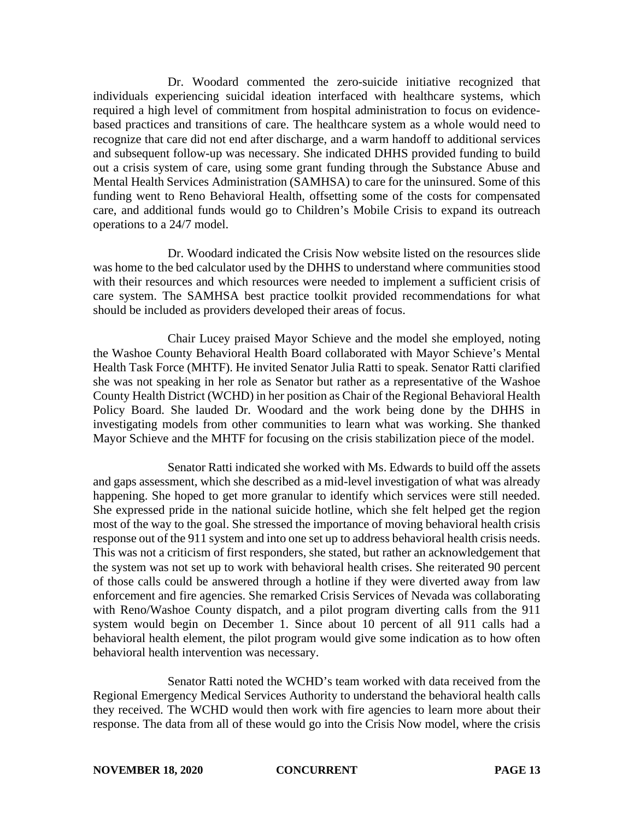Dr. Woodard commented the zero-suicide initiative recognized that individuals experiencing suicidal ideation interfaced with healthcare systems, which required a high level of commitment from hospital administration to focus on evidencebased practices and transitions of care. The healthcare system as a whole would need to recognize that care did not end after discharge, and a warm handoff to additional services and subsequent follow-up was necessary. She indicated DHHS provided funding to build out a crisis system of care, using some grant funding through the Substance Abuse and Mental Health Services Administration (SAMHSA) to care for the uninsured. Some of this funding went to Reno Behavioral Health, offsetting some of the costs for compensated care, and additional funds would go to Children's Mobile Crisis to expand its outreach operations to a 24/7 model.

Dr. Woodard indicated the Crisis Now website listed on the resources slide was home to the bed calculator used by the DHHS to understand where communities stood with their resources and which resources were needed to implement a sufficient crisis of care system. The SAMHSA best practice toolkit provided recommendations for what should be included as providers developed their areas of focus.

Chair Lucey praised Mayor Schieve and the model she employed, noting the Washoe County Behavioral Health Board collaborated with Mayor Schieve's Mental Health Task Force (MHTF). He invited Senator Julia Ratti to speak. Senator Ratti clarified she was not speaking in her role as Senator but rather as a representative of the Washoe County Health District (WCHD) in her position as Chair of the Regional Behavioral Health Policy Board. She lauded Dr. Woodard and the work being done by the DHHS in investigating models from other communities to learn what was working. She thanked Mayor Schieve and the MHTF for focusing on the crisis stabilization piece of the model.

Senator Ratti indicated she worked with Ms. Edwards to build off the assets and gaps assessment, which she described as a mid-level investigation of what was already happening. She hoped to get more granular to identify which services were still needed. She expressed pride in the national suicide hotline, which she felt helped get the region most of the way to the goal. She stressed the importance of moving behavioral health crisis response out of the 911 system and into one set up to address behavioral health crisis needs. This was not a criticism of first responders, she stated, but rather an acknowledgement that the system was not set up to work with behavioral health crises. She reiterated 90 percent of those calls could be answered through a hotline if they were diverted away from law enforcement and fire agencies. She remarked Crisis Services of Nevada was collaborating with Reno/Washoe County dispatch, and a pilot program diverting calls from the 911 system would begin on December 1. Since about 10 percent of all 911 calls had a behavioral health element, the pilot program would give some indication as to how often behavioral health intervention was necessary.

Senator Ratti noted the WCHD's team worked with data received from the Regional Emergency Medical Services Authority to understand the behavioral health calls they received. The WCHD would then work with fire agencies to learn more about their response. The data from all of these would go into the Crisis Now model, where the crisis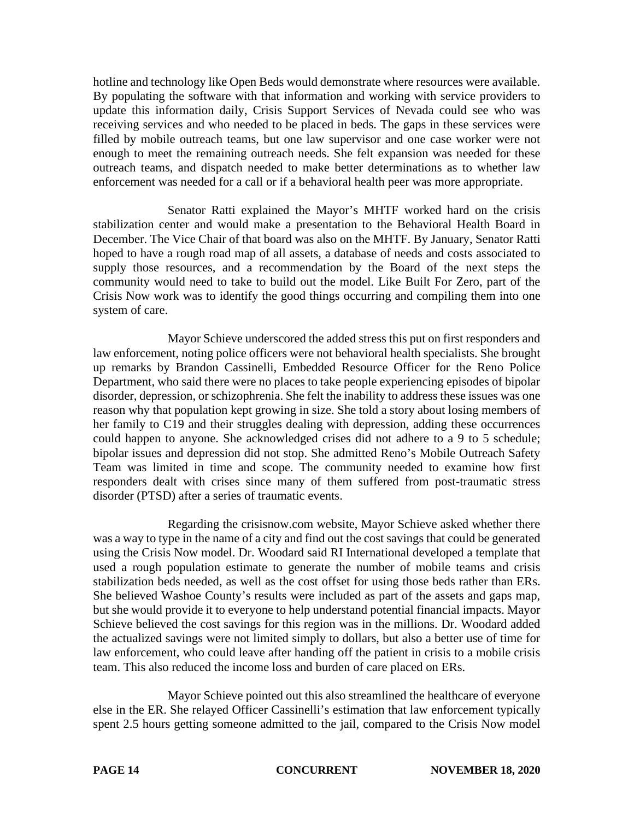hotline and technology like Open Beds would demonstrate where resources were available. By populating the software with that information and working with service providers to update this information daily, Crisis Support Services of Nevada could see who was receiving services and who needed to be placed in beds. The gaps in these services were filled by mobile outreach teams, but one law supervisor and one case worker were not enough to meet the remaining outreach needs. She felt expansion was needed for these outreach teams, and dispatch needed to make better determinations as to whether law enforcement was needed for a call or if a behavioral health peer was more appropriate.

Senator Ratti explained the Mayor's MHTF worked hard on the crisis stabilization center and would make a presentation to the Behavioral Health Board in December. The Vice Chair of that board was also on the MHTF. By January, Senator Ratti hoped to have a rough road map of all assets, a database of needs and costs associated to supply those resources, and a recommendation by the Board of the next steps the community would need to take to build out the model. Like Built For Zero, part of the Crisis Now work was to identify the good things occurring and compiling them into one system of care.

Mayor Schieve underscored the added stress this put on first responders and law enforcement, noting police officers were not behavioral health specialists. She brought up remarks by Brandon Cassinelli, Embedded Resource Officer for the Reno Police Department, who said there were no places to take people experiencing episodes of bipolar disorder, depression, or schizophrenia. She felt the inability to address these issues was one reason why that population kept growing in size. She told a story about losing members of her family to C19 and their struggles dealing with depression, adding these occurrences could happen to anyone. She acknowledged crises did not adhere to a 9 to 5 schedule; bipolar issues and depression did not stop. She admitted Reno's Mobile Outreach Safety Team was limited in time and scope. The community needed to examine how first responders dealt with crises since many of them suffered from post-traumatic stress disorder (PTSD) after a series of traumatic events.

Regarding the crisisnow.com website, Mayor Schieve asked whether there was a way to type in the name of a city and find out the cost savings that could be generated using the Crisis Now model. Dr. Woodard said RI International developed a template that used a rough population estimate to generate the number of mobile teams and crisis stabilization beds needed, as well as the cost offset for using those beds rather than ERs. She believed Washoe County's results were included as part of the assets and gaps map, but she would provide it to everyone to help understand potential financial impacts. Mayor Schieve believed the cost savings for this region was in the millions. Dr. Woodard added the actualized savings were not limited simply to dollars, but also a better use of time for law enforcement, who could leave after handing off the patient in crisis to a mobile crisis team. This also reduced the income loss and burden of care placed on ERs.

Mayor Schieve pointed out this also streamlined the healthcare of everyone else in the ER. She relayed Officer Cassinelli's estimation that law enforcement typically spent 2.5 hours getting someone admitted to the jail, compared to the Crisis Now model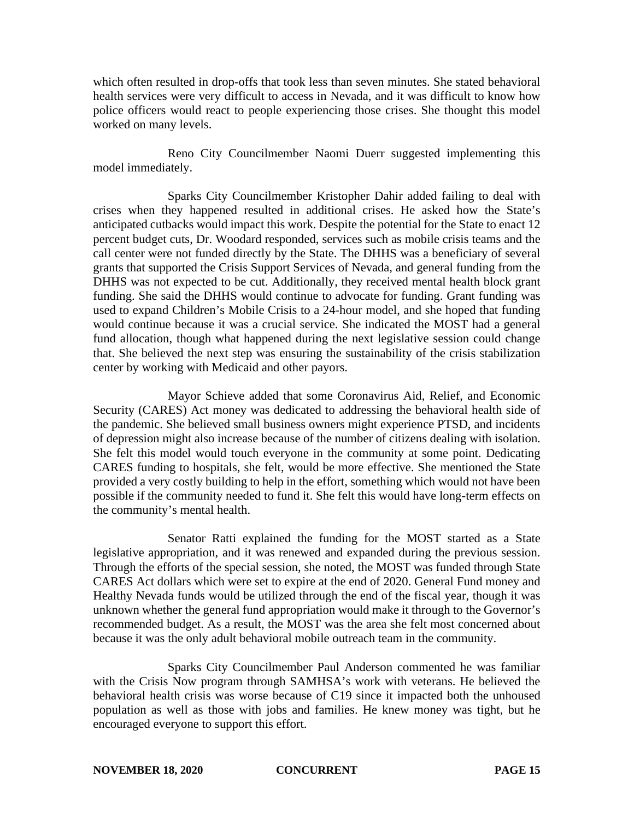which often resulted in drop-offs that took less than seven minutes. She stated behavioral health services were very difficult to access in Nevada, and it was difficult to know how police officers would react to people experiencing those crises. She thought this model worked on many levels.

Reno City Councilmember Naomi Duerr suggested implementing this model immediately.

Sparks City Councilmember Kristopher Dahir added failing to deal with crises when they happened resulted in additional crises. He asked how the State's anticipated cutbacks would impact this work. Despite the potential for the State to enact 12 percent budget cuts, Dr. Woodard responded, services such as mobile crisis teams and the call center were not funded directly by the State. The DHHS was a beneficiary of several grants that supported the Crisis Support Services of Nevada, and general funding from the DHHS was not expected to be cut. Additionally, they received mental health block grant funding. She said the DHHS would continue to advocate for funding. Grant funding was used to expand Children's Mobile Crisis to a 24-hour model, and she hoped that funding would continue because it was a crucial service. She indicated the MOST had a general fund allocation, though what happened during the next legislative session could change that. She believed the next step was ensuring the sustainability of the crisis stabilization center by working with Medicaid and other payors.

Mayor Schieve added that some Coronavirus Aid, Relief, and Economic Security (CARES) Act money was dedicated to addressing the behavioral health side of the pandemic. She believed small business owners might experience PTSD, and incidents of depression might also increase because of the number of citizens dealing with isolation. She felt this model would touch everyone in the community at some point. Dedicating CARES funding to hospitals, she felt, would be more effective. She mentioned the State provided a very costly building to help in the effort, something which would not have been possible if the community needed to fund it. She felt this would have long-term effects on the community's mental health.

Senator Ratti explained the funding for the MOST started as a State legislative appropriation, and it was renewed and expanded during the previous session. Through the efforts of the special session, she noted, the MOST was funded through State CARES Act dollars which were set to expire at the end of 2020. General Fund money and Healthy Nevada funds would be utilized through the end of the fiscal year, though it was unknown whether the general fund appropriation would make it through to the Governor's recommended budget. As a result, the MOST was the area she felt most concerned about because it was the only adult behavioral mobile outreach team in the community.

Sparks City Councilmember Paul Anderson commented he was familiar with the Crisis Now program through SAMHSA's work with veterans. He believed the behavioral health crisis was worse because of C19 since it impacted both the unhoused population as well as those with jobs and families. He knew money was tight, but he encouraged everyone to support this effort.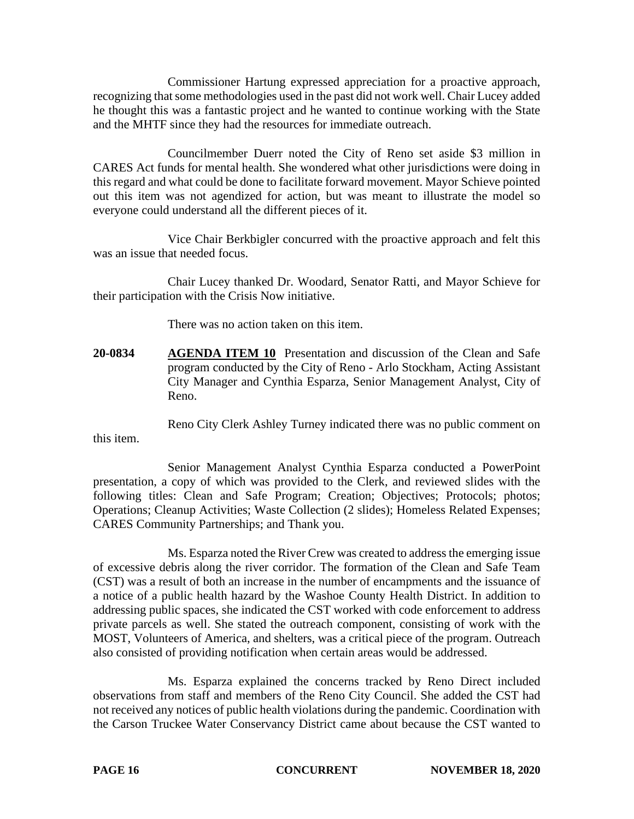Commissioner Hartung expressed appreciation for a proactive approach, recognizing that some methodologies used in the past did not work well. Chair Lucey added he thought this was a fantastic project and he wanted to continue working with the State and the MHTF since they had the resources for immediate outreach.

Councilmember Duerr noted the City of Reno set aside \$3 million in CARES Act funds for mental health. She wondered what other jurisdictions were doing in this regard and what could be done to facilitate forward movement. Mayor Schieve pointed out this item was not agendized for action, but was meant to illustrate the model so everyone could understand all the different pieces of it.

Vice Chair Berkbigler concurred with the proactive approach and felt this was an issue that needed focus.

Chair Lucey thanked Dr. Woodard, Senator Ratti, and Mayor Schieve for their participation with the Crisis Now initiative.

There was no action taken on this item.

**20-0834 AGENDA ITEM 10** Presentation and discussion of the Clean and Safe program conducted by the City of Reno - Arlo Stockham, Acting Assistant City Manager and Cynthia Esparza, Senior Management Analyst, City of Reno.

Reno City Clerk Ashley Turney indicated there was no public comment on

this item.

Senior Management Analyst Cynthia Esparza conducted a PowerPoint presentation, a copy of which was provided to the Clerk, and reviewed slides with the following titles: Clean and Safe Program; Creation; Objectives; Protocols; photos; Operations; Cleanup Activities; Waste Collection (2 slides); Homeless Related Expenses; CARES Community Partnerships; and Thank you.

Ms. Esparza noted the River Crew was created to address the emerging issue of excessive debris along the river corridor. The formation of the Clean and Safe Team (CST) was a result of both an increase in the number of encampments and the issuance of a notice of a public health hazard by the Washoe County Health District. In addition to addressing public spaces, she indicated the CST worked with code enforcement to address private parcels as well. She stated the outreach component, consisting of work with the MOST, Volunteers of America, and shelters, was a critical piece of the program. Outreach also consisted of providing notification when certain areas would be addressed.

Ms. Esparza explained the concerns tracked by Reno Direct included observations from staff and members of the Reno City Council. She added the CST had not received any notices of public health violations during the pandemic. Coordination with the Carson Truckee Water Conservancy District came about because the CST wanted to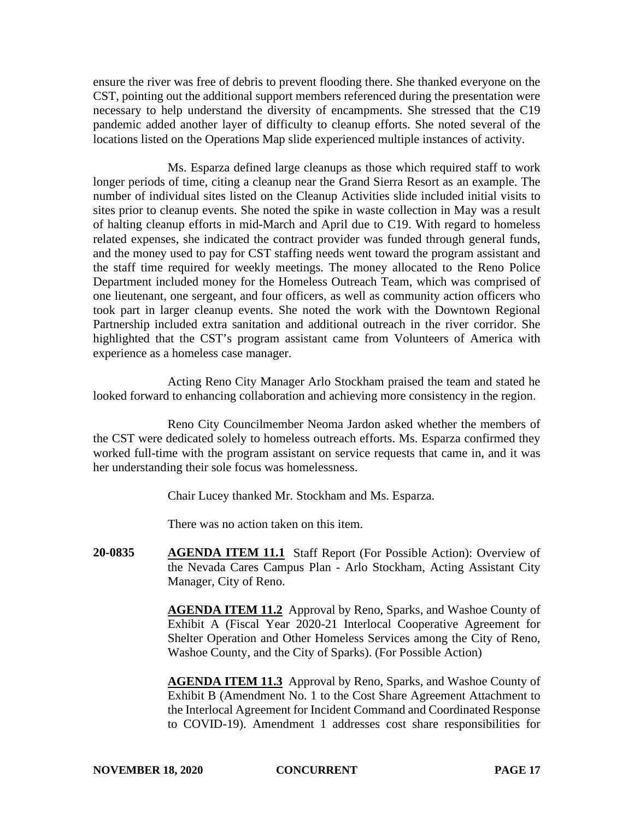ensure the river was free of debris to prevent flooding there. She thanked everyone on the CST, pointing out the additional support members referenced during the presentation were necessary to help understand the diversity of encampments. She stressed that the C19 pandemic added another layer of difficulty to cleanup efforts. She noted several of the locations listed on the Operations Map slide experienced multiple instances of activity.

Ms. Esparza defined large cleanups as those which required staff to work longer periods of time, citing a cleanup near the Grand Sierra Resort as an example. The number of individual sites listed on the Cleanup Activities slide included initial visits to sites prior to cleanup events. She noted the spike in waste collection in May was a result of halting cleanup efforts in mid-March and April due to C19. With regard to homeless related expenses, she indicated the contract provider was funded through general funds, and the money used to pay for CST staffing needs went toward the program assistant and the staff time required for weekly meetings. The money allocated to the Reno Police Department included money for the Homeless Outreach Team, which was comprised of one lieutenant, one sergeant, and four officers, as well as community action officers who took part in larger cleanup events. She noted the work with the Downtown Regional Partnership included extra sanitation and additional outreach in the river corridor. She highlighted that the CST's program assistant came from Volunteers of America with experience as a homeless case manager.

Acting Reno City Manager Arlo Stockham praised the team and stated he looked forward to enhancing collaboration and achieving more consistency in the region.

Reno City Councilmember Neoma Jardon asked whether the members of the CST were dedicated solely to homeless outreach efforts. Ms. Esparza confirmed they worked full-time with the program assistant on service requests that came in, and it was her understanding their sole focus was homelessness.

Chair Lucey thanked Mr. Stockham and Ms. Esparza.

There was no action taken on this item.

**20-0835 AGENDA ITEM 11.1** Staff Report (For Possible Action): Overview of the Nevada Cares Campus Plan - Arlo Stockham, Acting Assistant City Manager, City of Reno.

> **AGENDA ITEM 11.2** Approval by Reno, Sparks, and Washoe County of Exhibit A (Fiscal Year 2020-21 Interlocal Cooperative Agreement for Shelter Operation and Other Homeless Services among the City of Reno, Washoe County, and the City of Sparks). (For Possible Action)

> **AGENDA ITEM 11.3** Approval by Reno, Sparks, and Washoe County of Exhibit B (Amendment No. 1 to the Cost Share Agreement Attachment to the Interlocal Agreement for Incident Command and Coordinated Response to COVID-19). Amendment 1 addresses cost share responsibilities for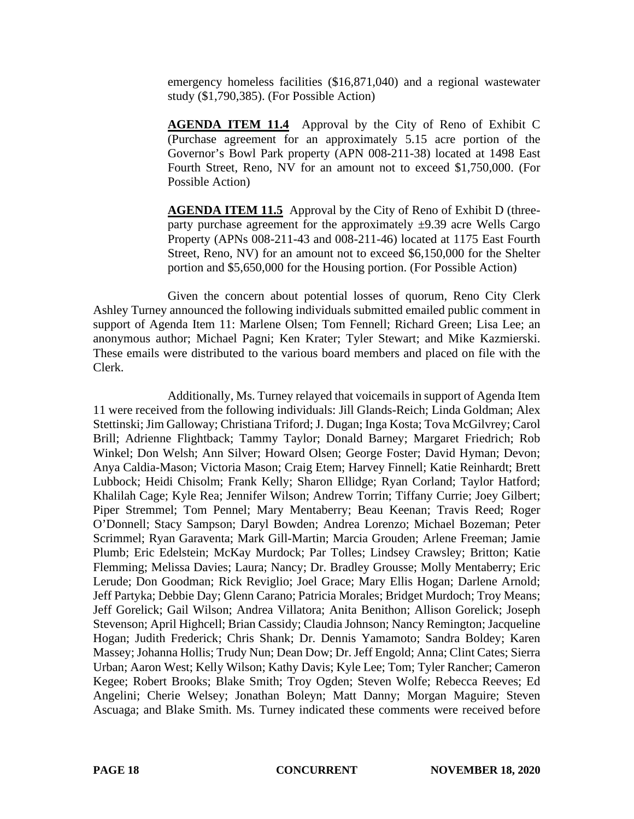emergency homeless facilities (\$16,871,040) and a regional wastewater study (\$1,790,385). (For Possible Action)

**AGENDA ITEM 11.4** Approval by the City of Reno of Exhibit C (Purchase agreement for an approximately 5.15 acre portion of the Governor's Bowl Park property (APN 008-211-38) located at 1498 East Fourth Street, Reno, NV for an amount not to exceed \$1,750,000. (For Possible Action)

**AGENDA ITEM 11.5** Approval by the City of Reno of Exhibit D (threeparty purchase agreement for the approximately  $\pm$ 9.39 acre Wells Cargo Property (APNs 008-211-43 and 008-211-46) located at 1175 East Fourth Street, Reno, NV) for an amount not to exceed \$6,150,000 for the Shelter portion and \$5,650,000 for the Housing portion. (For Possible Action)

Given the concern about potential losses of quorum, Reno City Clerk Ashley Turney announced the following individuals submitted emailed public comment in support of Agenda Item 11: Marlene Olsen; Tom Fennell; Richard Green; Lisa Lee; an anonymous author; Michael Pagni; Ken Krater; Tyler Stewart; and Mike Kazmierski. These emails were distributed to the various board members and placed on file with the Clerk.

Additionally, Ms. Turney relayed that voicemails in support of Agenda Item 11 were received from the following individuals: Jill Glands-Reich; Linda Goldman; Alex Stettinski; Jim Galloway; Christiana Triford; J. Dugan; Inga Kosta; Tova McGilvrey; Carol Brill; Adrienne Flightback; Tammy Taylor; Donald Barney; Margaret Friedrich; Rob Winkel; Don Welsh; Ann Silver; Howard Olsen; George Foster; David Hyman; Devon; Anya Caldia-Mason; Victoria Mason; Craig Etem; Harvey Finnell; Katie Reinhardt; Brett Lubbock; Heidi Chisolm; Frank Kelly; Sharon Ellidge; Ryan Corland; Taylor Hatford; Khalilah Cage; Kyle Rea; Jennifer Wilson; Andrew Torrin; Tiffany Currie; Joey Gilbert; Piper Stremmel; Tom Pennel; Mary Mentaberry; Beau Keenan; Travis Reed; Roger O'Donnell; Stacy Sampson; Daryl Bowden; Andrea Lorenzo; Michael Bozeman; Peter Scrimmel; Ryan Garaventa; Mark Gill-Martin; Marcia Grouden; Arlene Freeman; Jamie Plumb; Eric Edelstein; McKay Murdock; Par Tolles; Lindsey Crawsley; Britton; Katie Flemming; Melissa Davies; Laura; Nancy; Dr. Bradley Grousse; Molly Mentaberry; Eric Lerude; Don Goodman; Rick Reviglio; Joel Grace; Mary Ellis Hogan; Darlene Arnold; Jeff Partyka; Debbie Day; Glenn Carano; Patricia Morales; Bridget Murdoch; Troy Means; Jeff Gorelick; Gail Wilson; Andrea Villatora; Anita Benithon; Allison Gorelick; Joseph Stevenson; April Highcell; Brian Cassidy; Claudia Johnson; Nancy Remington; Jacqueline Hogan; Judith Frederick; Chris Shank; Dr. Dennis Yamamoto; Sandra Boldey; Karen Massey; Johanna Hollis; Trudy Nun; Dean Dow; Dr. Jeff Engold; Anna; Clint Cates; Sierra Urban; Aaron West; Kelly Wilson; Kathy Davis; Kyle Lee; Tom; Tyler Rancher; Cameron Kegee; Robert Brooks; Blake Smith; Troy Ogden; Steven Wolfe; Rebecca Reeves; Ed Angelini; Cherie Welsey; Jonathan Boleyn; Matt Danny; Morgan Maguire; Steven Ascuaga; and Blake Smith. Ms. Turney indicated these comments were received before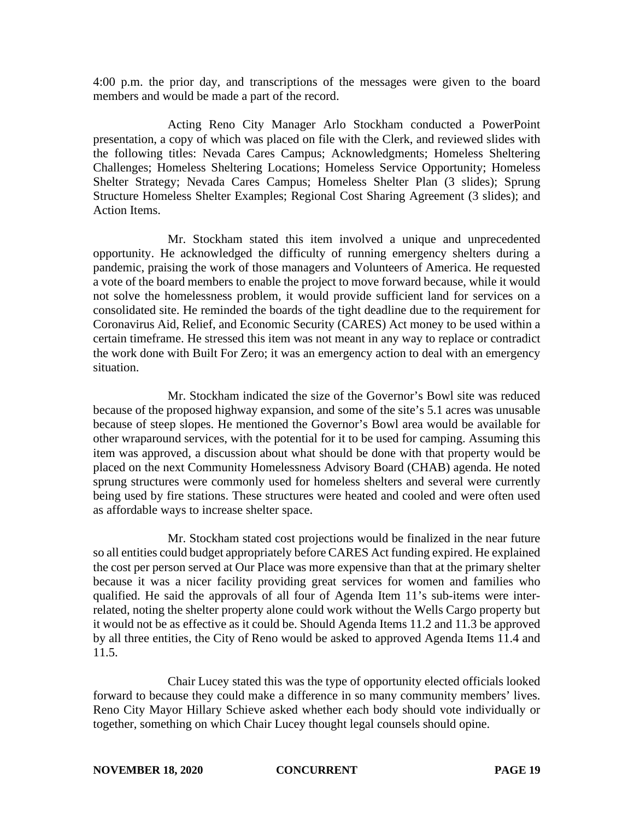4:00 p.m. the prior day, and transcriptions of the messages were given to the board members and would be made a part of the record.

Acting Reno City Manager Arlo Stockham conducted a PowerPoint presentation, a copy of which was placed on file with the Clerk, and reviewed slides with the following titles: Nevada Cares Campus; Acknowledgments; Homeless Sheltering Challenges; Homeless Sheltering Locations; Homeless Service Opportunity; Homeless Shelter Strategy; Nevada Cares Campus; Homeless Shelter Plan (3 slides); Sprung Structure Homeless Shelter Examples; Regional Cost Sharing Agreement (3 slides); and Action Items.

Mr. Stockham stated this item involved a unique and unprecedented opportunity. He acknowledged the difficulty of running emergency shelters during a pandemic, praising the work of those managers and Volunteers of America. He requested a vote of the board members to enable the project to move forward because, while it would not solve the homelessness problem, it would provide sufficient land for services on a consolidated site. He reminded the boards of the tight deadline due to the requirement for Coronavirus Aid, Relief, and Economic Security (CARES) Act money to be used within a certain timeframe. He stressed this item was not meant in any way to replace or contradict the work done with Built For Zero; it was an emergency action to deal with an emergency situation.

Mr. Stockham indicated the size of the Governor's Bowl site was reduced because of the proposed highway expansion, and some of the site's 5.1 acres was unusable because of steep slopes. He mentioned the Governor's Bowl area would be available for other wraparound services, with the potential for it to be used for camping. Assuming this item was approved, a discussion about what should be done with that property would be placed on the next Community Homelessness Advisory Board (CHAB) agenda. He noted sprung structures were commonly used for homeless shelters and several were currently being used by fire stations. These structures were heated and cooled and were often used as affordable ways to increase shelter space.

Mr. Stockham stated cost projections would be finalized in the near future so all entities could budget appropriately before CARES Act funding expired. He explained the cost per person served at Our Place was more expensive than that at the primary shelter because it was a nicer facility providing great services for women and families who qualified. He said the approvals of all four of Agenda Item 11's sub-items were interrelated, noting the shelter property alone could work without the Wells Cargo property but it would not be as effective as it could be. Should Agenda Items 11.2 and 11.3 be approved by all three entities, the City of Reno would be asked to approved Agenda Items 11.4 and 11.5.

Chair Lucey stated this was the type of opportunity elected officials looked forward to because they could make a difference in so many community members' lives. Reno City Mayor Hillary Schieve asked whether each body should vote individually or together, something on which Chair Lucey thought legal counsels should opine.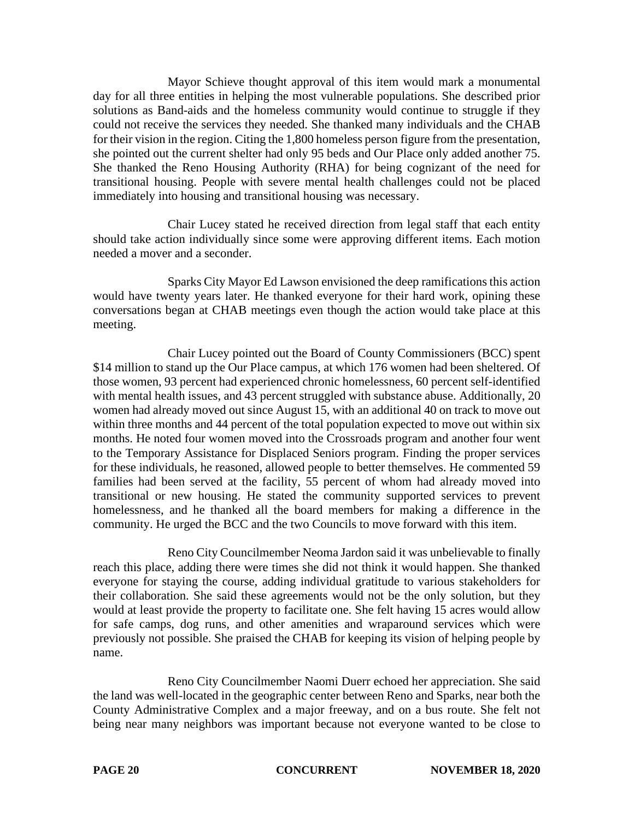Mayor Schieve thought approval of this item would mark a monumental day for all three entities in helping the most vulnerable populations. She described prior solutions as Band-aids and the homeless community would continue to struggle if they could not receive the services they needed. She thanked many individuals and the CHAB for their vision in the region. Citing the 1,800 homeless person figure from the presentation, she pointed out the current shelter had only 95 beds and Our Place only added another 75. She thanked the Reno Housing Authority (RHA) for being cognizant of the need for transitional housing. People with severe mental health challenges could not be placed immediately into housing and transitional housing was necessary.

Chair Lucey stated he received direction from legal staff that each entity should take action individually since some were approving different items. Each motion needed a mover and a seconder.

Sparks City Mayor Ed Lawson envisioned the deep ramifications this action would have twenty years later. He thanked everyone for their hard work, opining these conversations began at CHAB meetings even though the action would take place at this meeting.

Chair Lucey pointed out the Board of County Commissioners (BCC) spent \$14 million to stand up the Our Place campus, at which 176 women had been sheltered. Of those women, 93 percent had experienced chronic homelessness, 60 percent self-identified with mental health issues, and 43 percent struggled with substance abuse. Additionally, 20 women had already moved out since August 15, with an additional 40 on track to move out within three months and 44 percent of the total population expected to move out within six months. He noted four women moved into the Crossroads program and another four went to the Temporary Assistance for Displaced Seniors program. Finding the proper services for these individuals, he reasoned, allowed people to better themselves. He commented 59 families had been served at the facility, 55 percent of whom had already moved into transitional or new housing. He stated the community supported services to prevent homelessness, and he thanked all the board members for making a difference in the community. He urged the BCC and the two Councils to move forward with this item.

Reno City Councilmember Neoma Jardon said it was unbelievable to finally reach this place, adding there were times she did not think it would happen. She thanked everyone for staying the course, adding individual gratitude to various stakeholders for their collaboration. She said these agreements would not be the only solution, but they would at least provide the property to facilitate one. She felt having 15 acres would allow for safe camps, dog runs, and other amenities and wraparound services which were previously not possible. She praised the CHAB for keeping its vision of helping people by name.

Reno City Councilmember Naomi Duerr echoed her appreciation. She said the land was well-located in the geographic center between Reno and Sparks, near both the County Administrative Complex and a major freeway, and on a bus route. She felt not being near many neighbors was important because not everyone wanted to be close to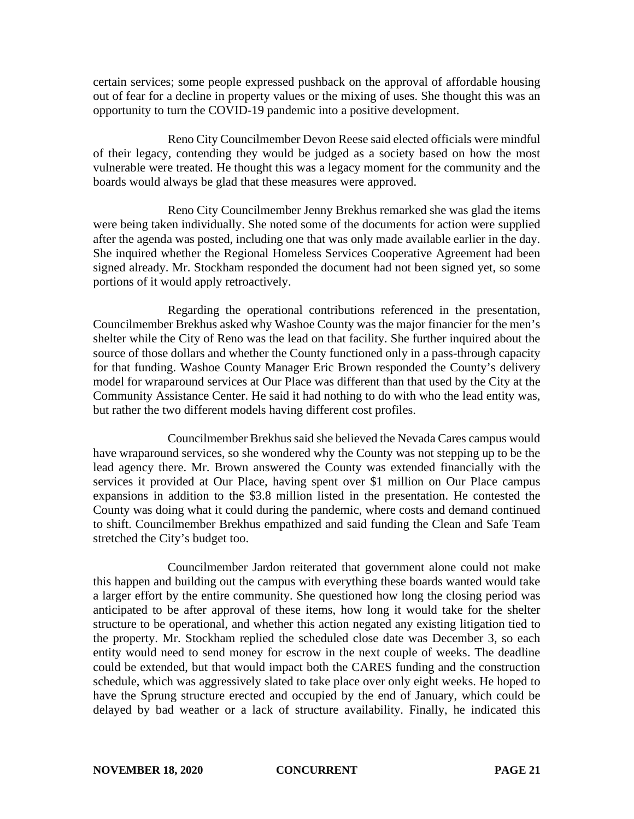certain services; some people expressed pushback on the approval of affordable housing out of fear for a decline in property values or the mixing of uses. She thought this was an opportunity to turn the COVID-19 pandemic into a positive development.

Reno City Councilmember Devon Reese said elected officials were mindful of their legacy, contending they would be judged as a society based on how the most vulnerable were treated. He thought this was a legacy moment for the community and the boards would always be glad that these measures were approved.

Reno City Councilmember Jenny Brekhus remarked she was glad the items were being taken individually. She noted some of the documents for action were supplied after the agenda was posted, including one that was only made available earlier in the day. She inquired whether the Regional Homeless Services Cooperative Agreement had been signed already. Mr. Stockham responded the document had not been signed yet, so some portions of it would apply retroactively.

Regarding the operational contributions referenced in the presentation, Councilmember Brekhus asked why Washoe County was the major financier for the men's shelter while the City of Reno was the lead on that facility. She further inquired about the source of those dollars and whether the County functioned only in a pass-through capacity for that funding. Washoe County Manager Eric Brown responded the County's delivery model for wraparound services at Our Place was different than that used by the City at the Community Assistance Center. He said it had nothing to do with who the lead entity was, but rather the two different models having different cost profiles.

Councilmember Brekhus said she believed the Nevada Cares campus would have wraparound services, so she wondered why the County was not stepping up to be the lead agency there. Mr. Brown answered the County was extended financially with the services it provided at Our Place, having spent over \$1 million on Our Place campus expansions in addition to the \$3.8 million listed in the presentation. He contested the County was doing what it could during the pandemic, where costs and demand continued to shift. Councilmember Brekhus empathized and said funding the Clean and Safe Team stretched the City's budget too.

Councilmember Jardon reiterated that government alone could not make this happen and building out the campus with everything these boards wanted would take a larger effort by the entire community. She questioned how long the closing period was anticipated to be after approval of these items, how long it would take for the shelter structure to be operational, and whether this action negated any existing litigation tied to the property. Mr. Stockham replied the scheduled close date was December 3, so each entity would need to send money for escrow in the next couple of weeks. The deadline could be extended, but that would impact both the CARES funding and the construction schedule, which was aggressively slated to take place over only eight weeks. He hoped to have the Sprung structure erected and occupied by the end of January, which could be delayed by bad weather or a lack of structure availability. Finally, he indicated this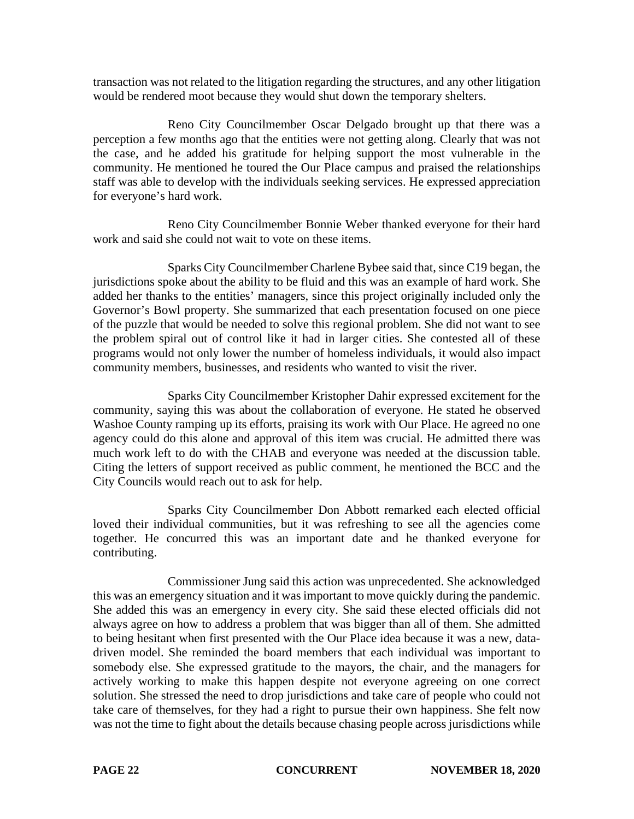transaction was not related to the litigation regarding the structures, and any other litigation would be rendered moot because they would shut down the temporary shelters.

Reno City Councilmember Oscar Delgado brought up that there was a perception a few months ago that the entities were not getting along. Clearly that was not the case, and he added his gratitude for helping support the most vulnerable in the community. He mentioned he toured the Our Place campus and praised the relationships staff was able to develop with the individuals seeking services. He expressed appreciation for everyone's hard work.

Reno City Councilmember Bonnie Weber thanked everyone for their hard work and said she could not wait to vote on these items.

Sparks City Councilmember Charlene Bybee said that, since C19 began, the jurisdictions spoke about the ability to be fluid and this was an example of hard work. She added her thanks to the entities' managers, since this project originally included only the Governor's Bowl property. She summarized that each presentation focused on one piece of the puzzle that would be needed to solve this regional problem. She did not want to see the problem spiral out of control like it had in larger cities. She contested all of these programs would not only lower the number of homeless individuals, it would also impact community members, businesses, and residents who wanted to visit the river.

Sparks City Councilmember Kristopher Dahir expressed excitement for the community, saying this was about the collaboration of everyone. He stated he observed Washoe County ramping up its efforts, praising its work with Our Place. He agreed no one agency could do this alone and approval of this item was crucial. He admitted there was much work left to do with the CHAB and everyone was needed at the discussion table. Citing the letters of support received as public comment, he mentioned the BCC and the City Councils would reach out to ask for help.

Sparks City Councilmember Don Abbott remarked each elected official loved their individual communities, but it was refreshing to see all the agencies come together. He concurred this was an important date and he thanked everyone for contributing.

Commissioner Jung said this action was unprecedented. She acknowledged this was an emergency situation and it was important to move quickly during the pandemic. She added this was an emergency in every city. She said these elected officials did not always agree on how to address a problem that was bigger than all of them. She admitted to being hesitant when first presented with the Our Place idea because it was a new, datadriven model. She reminded the board members that each individual was important to somebody else. She expressed gratitude to the mayors, the chair, and the managers for actively working to make this happen despite not everyone agreeing on one correct solution. She stressed the need to drop jurisdictions and take care of people who could not take care of themselves, for they had a right to pursue their own happiness. She felt now was not the time to fight about the details because chasing people across jurisdictions while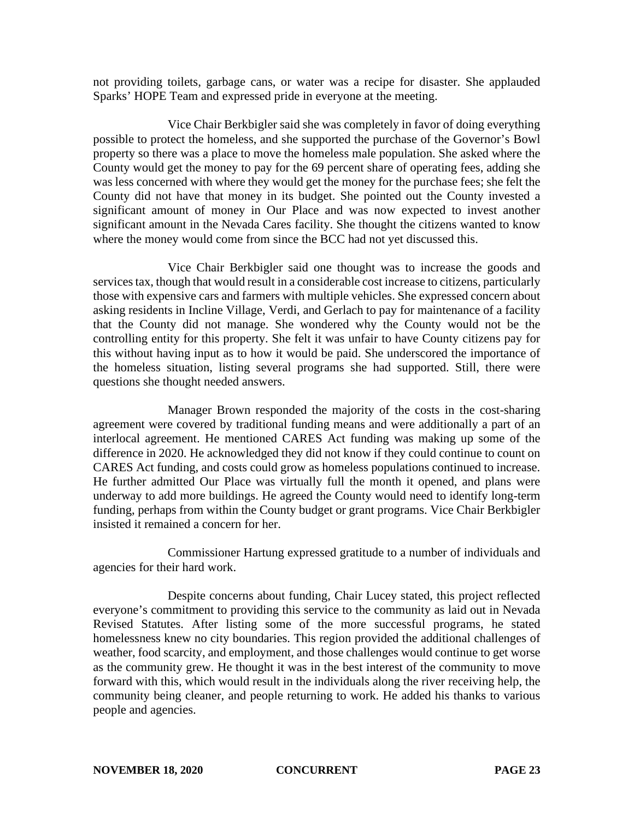not providing toilets, garbage cans, or water was a recipe for disaster. She applauded Sparks' HOPE Team and expressed pride in everyone at the meeting.

Vice Chair Berkbigler said she was completely in favor of doing everything possible to protect the homeless, and she supported the purchase of the Governor's Bowl property so there was a place to move the homeless male population. She asked where the County would get the money to pay for the 69 percent share of operating fees, adding she was less concerned with where they would get the money for the purchase fees; she felt the County did not have that money in its budget. She pointed out the County invested a significant amount of money in Our Place and was now expected to invest another significant amount in the Nevada Cares facility. She thought the citizens wanted to know where the money would come from since the BCC had not yet discussed this.

Vice Chair Berkbigler said one thought was to increase the goods and services tax, though that would result in a considerable cost increase to citizens, particularly those with expensive cars and farmers with multiple vehicles. She expressed concern about asking residents in Incline Village, Verdi, and Gerlach to pay for maintenance of a facility that the County did not manage. She wondered why the County would not be the controlling entity for this property. She felt it was unfair to have County citizens pay for this without having input as to how it would be paid. She underscored the importance of the homeless situation, listing several programs she had supported. Still, there were questions she thought needed answers.

Manager Brown responded the majority of the costs in the cost-sharing agreement were covered by traditional funding means and were additionally a part of an interlocal agreement. He mentioned CARES Act funding was making up some of the difference in 2020. He acknowledged they did not know if they could continue to count on CARES Act funding, and costs could grow as homeless populations continued to increase. He further admitted Our Place was virtually full the month it opened, and plans were underway to add more buildings. He agreed the County would need to identify long-term funding, perhaps from within the County budget or grant programs. Vice Chair Berkbigler insisted it remained a concern for her.

Commissioner Hartung expressed gratitude to a number of individuals and agencies for their hard work.

Despite concerns about funding, Chair Lucey stated, this project reflected everyone's commitment to providing this service to the community as laid out in Nevada Revised Statutes. After listing some of the more successful programs, he stated homelessness knew no city boundaries. This region provided the additional challenges of weather, food scarcity, and employment, and those challenges would continue to get worse as the community grew. He thought it was in the best interest of the community to move forward with this, which would result in the individuals along the river receiving help, the community being cleaner, and people returning to work. He added his thanks to various people and agencies.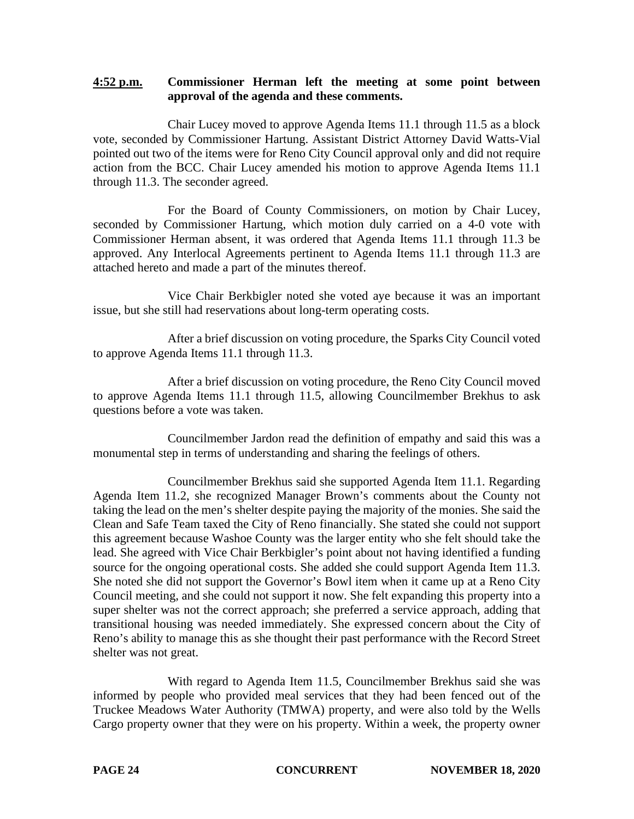## **4:52 p.m. Commissioner Herman left the meeting at some point between approval of the agenda and these comments.**

Chair Lucey moved to approve Agenda Items 11.1 through 11.5 as a block vote, seconded by Commissioner Hartung. Assistant District Attorney David Watts-Vial pointed out two of the items were for Reno City Council approval only and did not require action from the BCC. Chair Lucey amended his motion to approve Agenda Items 11.1 through 11.3. The seconder agreed.

For the Board of County Commissioners, on motion by Chair Lucey, seconded by Commissioner Hartung, which motion duly carried on a 4-0 vote with Commissioner Herman absent, it was ordered that Agenda Items 11.1 through 11.3 be approved. Any Interlocal Agreements pertinent to Agenda Items 11.1 through 11.3 are attached hereto and made a part of the minutes thereof.

Vice Chair Berkbigler noted she voted aye because it was an important issue, but she still had reservations about long-term operating costs.

After a brief discussion on voting procedure, the Sparks City Council voted to approve Agenda Items 11.1 through 11.3.

After a brief discussion on voting procedure, the Reno City Council moved to approve Agenda Items 11.1 through 11.5, allowing Councilmember Brekhus to ask questions before a vote was taken.

Councilmember Jardon read the definition of empathy and said this was a monumental step in terms of understanding and sharing the feelings of others.

Councilmember Brekhus said she supported Agenda Item 11.1. Regarding Agenda Item 11.2, she recognized Manager Brown's comments about the County not taking the lead on the men's shelter despite paying the majority of the monies. She said the Clean and Safe Team taxed the City of Reno financially. She stated she could not support this agreement because Washoe County was the larger entity who she felt should take the lead. She agreed with Vice Chair Berkbigler's point about not having identified a funding source for the ongoing operational costs. She added she could support Agenda Item 11.3. She noted she did not support the Governor's Bowl item when it came up at a Reno City Council meeting, and she could not support it now. She felt expanding this property into a super shelter was not the correct approach; she preferred a service approach, adding that transitional housing was needed immediately. She expressed concern about the City of Reno's ability to manage this as she thought their past performance with the Record Street shelter was not great.

With regard to Agenda Item 11.5, Councilmember Brekhus said she was informed by people who provided meal services that they had been fenced out of the Truckee Meadows Water Authority (TMWA) property, and were also told by the Wells Cargo property owner that they were on his property. Within a week, the property owner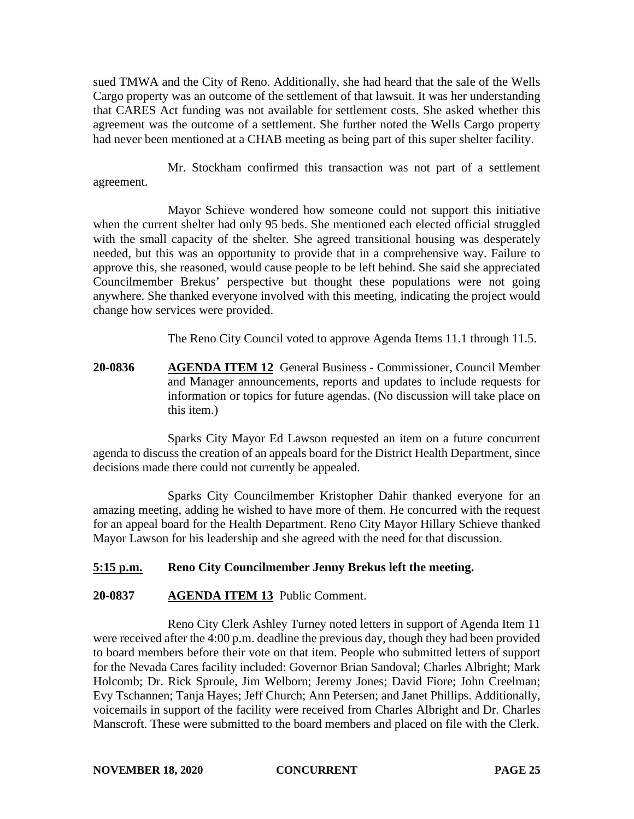sued TMWA and the City of Reno. Additionally, she had heard that the sale of the Wells Cargo property was an outcome of the settlement of that lawsuit. It was her understanding that CARES Act funding was not available for settlement costs. She asked whether this agreement was the outcome of a settlement. She further noted the Wells Cargo property had never been mentioned at a CHAB meeting as being part of this super shelter facility.

Mr. Stockham confirmed this transaction was not part of a settlement agreement.

Mayor Schieve wondered how someone could not support this initiative when the current shelter had only 95 beds. She mentioned each elected official struggled with the small capacity of the shelter. She agreed transitional housing was desperately needed, but this was an opportunity to provide that in a comprehensive way. Failure to approve this, she reasoned, would cause people to be left behind. She said she appreciated Councilmember Brekus' perspective but thought these populations were not going anywhere. She thanked everyone involved with this meeting, indicating the project would change how services were provided.

The Reno City Council voted to approve Agenda Items 11.1 through 11.5.

**20-0836 AGENDA ITEM 12** General Business - Commissioner, Council Member and Manager announcements, reports and updates to include requests for information or topics for future agendas. (No discussion will take place on this item.)

Sparks City Mayor Ed Lawson requested an item on a future concurrent agenda to discuss the creation of an appeals board for the District Health Department, since decisions made there could not currently be appealed.

Sparks City Councilmember Kristopher Dahir thanked everyone for an amazing meeting, adding he wished to have more of them. He concurred with the request for an appeal board for the Health Department. Reno City Mayor Hillary Schieve thanked Mayor Lawson for his leadership and she agreed with the need for that discussion.

# **5:15 p.m. Reno City Councilmember Jenny Brekus left the meeting.**

# **20-0837 AGENDA ITEM 13** Public Comment.

Reno City Clerk Ashley Turney noted letters in support of Agenda Item 11 were received after the 4:00 p.m. deadline the previous day, though they had been provided to board members before their vote on that item. People who submitted letters of support for the Nevada Cares facility included: Governor Brian Sandoval; Charles Albright; Mark Holcomb; Dr. Rick Sproule, Jim Welborn; Jeremy Jones; David Fiore; John Creelman; Evy Tschannen; Tanja Hayes; Jeff Church; Ann Petersen; and Janet Phillips. Additionally, voicemails in support of the facility were received from Charles Albright and Dr. Charles Manscroft. These were submitted to the board members and placed on file with the Clerk.